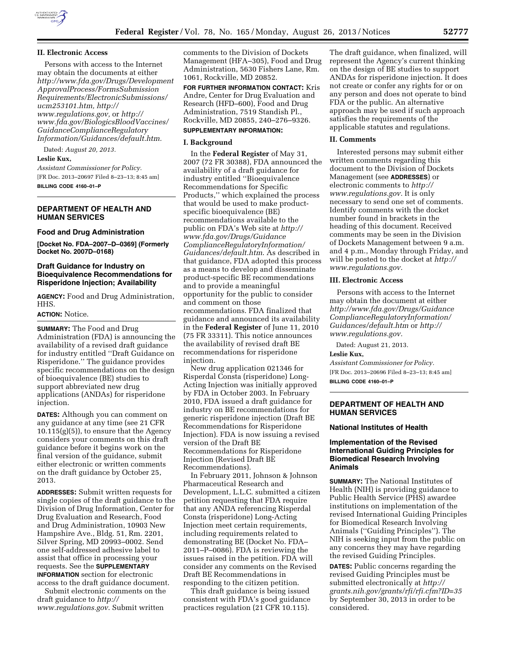

## **II. Electronic Access**

Persons with access to the Internet may obtain the documents at either *[http://www.fda.gov/Drugs/Development](http://www.fda.gov/Drugs/DevelopmentApprovalProcess/FormsSubmissionRequirements/ElectronicSubmissions/ucm253101.htm) [ApprovalProcess/FormsSubmission](http://www.fda.gov/Drugs/DevelopmentApprovalProcess/FormsSubmissionRequirements/ElectronicSubmissions/ucm253101.htm) [Requirements/ElectronicSubmissions/](http://www.fda.gov/Drugs/DevelopmentApprovalProcess/FormsSubmissionRequirements/ElectronicSubmissions/ucm253101.htm)  [ucm253101.htm,](http://www.fda.gov/Drugs/DevelopmentApprovalProcess/FormsSubmissionRequirements/ElectronicSubmissions/ucm253101.htm) [http://](http://www.regulations.gov) [www.regulations.gov,](http://www.regulations.gov)* or *[http://](http://www.fda.gov/BiologicsBloodVaccines/GuidanceComplianceRegulatoryInformation/Guidances/default.htm) [www.fda.gov/BiologicsBloodVaccines/](http://www.fda.gov/BiologicsBloodVaccines/GuidanceComplianceRegulatoryInformation/Guidances/default.htm) [GuidanceComplianceRegulatory](http://www.fda.gov/BiologicsBloodVaccines/GuidanceComplianceRegulatoryInformation/Guidances/default.htm) [Information/Guidances/default.htm.](http://www.fda.gov/BiologicsBloodVaccines/GuidanceComplianceRegulatoryInformation/Guidances/default.htm)* 

Dated: *August 20, 2013.* 

### **Leslie Kux,**

*Assistant Commissioner for Policy.*  [FR Doc. 2013–20697 Filed 8–23–13; 8:45 am] **BILLING CODE 4160–01–P** 

### **DEPARTMENT OF HEALTH AND HUMAN SERVICES**

#### **Food and Drug Administration**

**[Docket No. FDA–2007–D–0369] (Formerly Docket No. 2007D–0168)** 

# **Draft Guidance for Industry on Bioequivalence Recommendations for Risperidone Injection; Availability**

**AGENCY:** Food and Drug Administration, HHS.

### **ACTION:** Notice.

**SUMMARY:** The Food and Drug Administration (FDA) is announcing the availability of a revised draft guidance for industry entitled ''Draft Guidance on Risperidone.'' The guidance provides specific recommendations on the design of bioequivalence (BE) studies to support abbreviated new drug applications (ANDAs) for risperidone injection.

**DATES:** Although you can comment on any guidance at any time (see 21 CFR  $10.115(g)(5)$ , to ensure that the Agency considers your comments on this draft guidance before it begins work on the final version of the guidance, submit either electronic or written comments on the draft guidance by October 25, 2013.

**ADDRESSES:** Submit written requests for single copies of the draft guidance to the Division of Drug Information, Center for Drug Evaluation and Research, Food and Drug Administration, 10903 New Hampshire Ave., Bldg. 51, Rm. 2201, Silver Spring, MD 20993–0002. Send one self-addressed adhesive label to assist that office in processing your requests. See the **SUPPLEMENTARY INFORMATION** section for electronic access to the draft guidance document.

Submit electronic comments on the draft guidance to *[http://](http://www.regulations.gov) [www.regulations.gov](http://www.regulations.gov)*. Submit written

comments to the Division of Dockets Management (HFA–305), Food and Drug Administration, 5630 Fishers Lane, Rm. 1061, Rockville, MD 20852.

**FOR FURTHER INFORMATION CONTACT:** Kris Andre, Center for Drug Evaluation and Research (HFD–600), Food and Drug Administration, 7519 Standish Pl., Rockville, MD 20855, 240–276–9326.

# **SUPPLEMENTARY INFORMATION:**

#### **I. Background**

In the **Federal Register** of May 31, 2007 (72 FR 30388), FDA announced the availability of a draft guidance for industry entitled ''Bioequivalence Recommendations for Specific Products,'' which explained the process that would be used to make productspecific bioequivalence (BE) recommendations available to the public on FDA's Web site at *[http://](http://www.fda.gov/Drugs/GuidanceComplianceRegulatoryInformation/Guidances/default.htm) [www.fda.gov/Drugs/Guidance](http://www.fda.gov/Drugs/GuidanceComplianceRegulatoryInformation/Guidances/default.htm) [ComplianceRegulatoryInformation/](http://www.fda.gov/Drugs/GuidanceComplianceRegulatoryInformation/Guidances/default.htm) [Guidances/default.htm](http://www.fda.gov/Drugs/GuidanceComplianceRegulatoryInformation/Guidances/default.htm)*. As described in that guidance, FDA adopted this process as a means to develop and disseminate product-specific BE recommendations and to provide a meaningful opportunity for the public to consider and comment on those recommendations. FDA finalized that guidance and announced its availability in the **Federal Register** of June 11, 2010 (75 FR 33311). This notice announces the availability of revised draft BE recommendations for risperidone injection.

New drug application 021346 for Risperdal Consta (risperidone) Long-Acting Injection was initially approved by FDA in October 2003. In February 2010, FDA issued a draft guidance for industry on BE recommendations for generic risperidone injection (Draft BE Recommendations for Risperidone Injection). FDA is now issuing a revised version of the Draft BE Recommendations for Risperidone Injection (Revised Draft BE Recommendations).

In February 2011, Johnson & Johnson Pharmaceutical Research and Development, L.L.C. submitted a citizen petition requesting that FDA require that any ANDA referencing Risperdal Consta (risperidone) Long-Acting Injection meet certain requirements, including requirements related to demonstrating BE (Docket No. FDA– 2011–P–0086). FDA is reviewing the issues raised in the petition. FDA will consider any comments on the Revised Draft BE Recommendations in responding to the citizen petition.

This draft guidance is being issued consistent with FDA's good guidance practices regulation (21 CFR 10.115).

The draft guidance, when finalized, will represent the Agency's current thinking on the design of BE studies to support ANDAs for risperidone injection. It does not create or confer any rights for or on any person and does not operate to bind FDA or the public. An alternative approach may be used if such approach satisfies the requirements of the applicable statutes and regulations.

### **II. Comments**

Interested persons may submit either written comments regarding this document to the Division of Dockets Management (see **ADDRESSES**) or electronic comments to *[http://](http://www.regulations.gov) [www.regulations.gov.](http://www.regulations.gov)* It is only necessary to send one set of comments. Identify comments with the docket number found in brackets in the heading of this document. Received comments may be seen in the Division of Dockets Management between 9 a.m. and 4 p.m., Monday through Friday, and will be posted to the docket at *[http://](http://www.regulations.gov) [www.regulations.gov.](http://www.regulations.gov)* 

### **III. Electronic Access**

Persons with access to the Internet may obtain the document at either *[http://www.fda.gov/Drugs/Guidance](http://www.fda.gov/Drugs/GuidanceComplianceRegulatoryInformation/Guidances/default.htm) [ComplianceRegulatoryInformation/](http://www.fda.gov/Drugs/GuidanceComplianceRegulatoryInformation/Guidances/default.htm) [Guidances/default.htm](http://www.fda.gov/Drugs/GuidanceComplianceRegulatoryInformation/Guidances/default.htm)* or *[http://](http://www.regulations.gov) [www.regulations.gov.](http://www.regulations.gov)* 

Dated: August 21, 2013.

# **Leslie Kux,**

*Assistant Commissioner for Policy.*  [FR Doc. 2013–20696 Filed 8–23–13; 8:45 am] **BILLING CODE 4160–01–P** 

## **DEPARTMENT OF HEALTH AND HUMAN SERVICES**

#### **National Institutes of Health**

# **Implementation of the Revised International Guiding Principles for Biomedical Research Involving Animals**

**SUMMARY:** The National Institutes of Health (NIH) is providing guidance to Public Health Service (PHS) awardee institutions on implementation of the revised International Guiding Principles for Biomedical Research Involving Animals (''Guiding Principles''). The NIH is seeking input from the public on any concerns they may have regarding the revised Guiding Principles.

**DATES:** Public concerns regarding the revised Guiding Principles must be submitted electronically at *[http://](http://grants.nih.gov/grants/rfi/rfi.cfm?ID=35) [grants.nih.gov/grants/rfi/rfi.cfm?ID=35](http://grants.nih.gov/grants/rfi/rfi.cfm?ID=35)*  by September 30, 2013 in order to be considered.